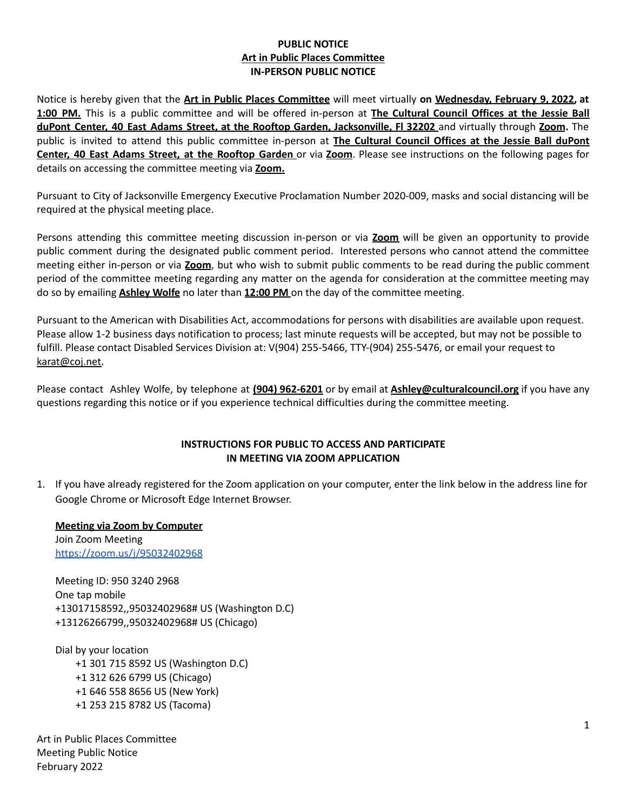## **PUBLIC NOTICE Art in Public Places Committee IN-PERSON PUBLIC NOTICE**

Notice is hereby given that the **Art in Public Places Committee** will meet virtually **on Wednesday, February 9, 2022, at 1:00 PM.** This is a public committee and will be offered in-person at **The Cultural Council Offices at the Jessie Ball duPont Center, 40 East Adams Street, at the Rooftop Garden, Jacksonville, Fl 32202** and virtually through **Zoom.** The public is invited to attend this public committee in-person at **The Cultural Council Offices at the Jessie Ball duPont Center, 40 East Adams Street, at the Rooftop Garden** or via **Zoom**. Please see instructions on the following pages for details on accessing the committee meeting via **Zoom.**

Pursuant to City of Jacksonville Emergency Executive Proclamation Number 2020-009, masks and social distancing will be required at the physical meeting place.

Persons attending this committee meeting discussion in-person or via **Zoom** will be given an opportunity to provide public comment during the designated public comment period. Interested persons who cannot attend the committee meeting either in-person or via **Zoom**, but who wish to submit public comments to be read during the public comment period of the committee meeting regarding any matter on the agenda for consideration at the committee meeting may do so by emailing **Ashley Wolfe** no later than **12:00 PM** on the day of the committee meeting.

Pursuant to the American with Disabilities Act, accommodations for persons with disabilities are available upon request. Please allow 1-2 business days notification to process; last minute requests will be accepted, but may not be possible to fulfill. Please contact Disabled Services Division at: V(904) 255-5466, TTY-(904) 255-5476, or email your request to [karat@coj.net.](mailto:karat@coj.net)

Please contact Ashley Wolfe, by telephone at **(904) 962-6201** or by email at **Ashley@culturalcouncil.org** if you have any questions regarding this notice or if you experience technical difficulties during the committee meeting.

### **INSTRUCTIONS FOR PUBLIC TO ACCESS AND PARTICIPATE IN MEETING VIA ZOOM APPLICATION**

1. If you have already registered for the Zoom application on your computer, enter the link below in the address line for Google Chrome or Microsoft Edge Internet Browser.

**Meeting via Zoom by Computer** Join Zoom Meeting <https://zoom.us/j/95032402968>

Meeting ID: 950 3240 2968 One tap mobile +13017158592,,95032402968# US (Washington D.C) +13126266799,,95032402968# US (Chicago)

Dial by your location +1 301 715 8592 US (Washington D.C) +1 312 626 6799 US (Chicago) +1 646 558 8656 US (New York) +1 253 215 8782 US (Tacoma)

Art in Public Places Committee Meeting Public Notice February 2022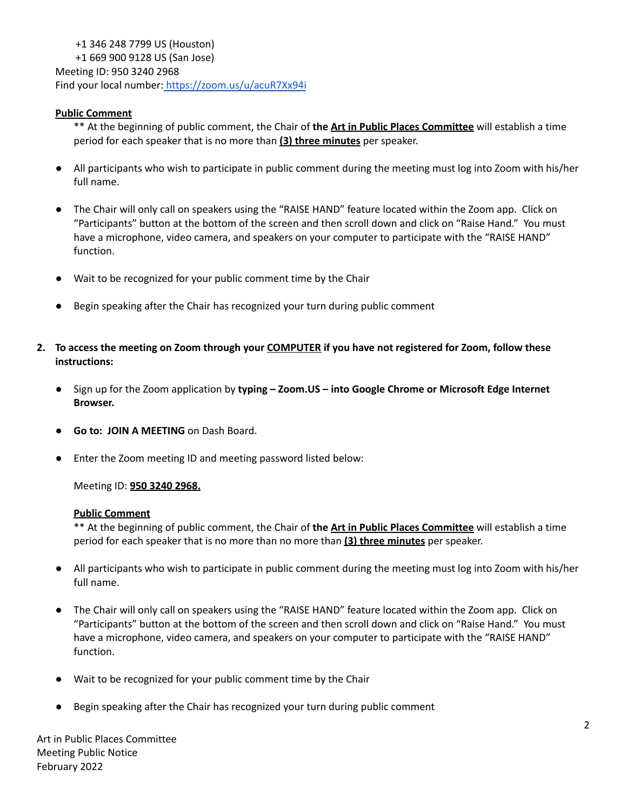+1 346 248 7799 US (Houston) +1 669 900 9128 US (San Jose) Meeting ID: 950 3240 2968 Find your local number: <https://zoom.us/u/acuR7Xx94i>

## **Public Comment**

\*\* At the beginning of public comment, the Chair of **the Art in Public Places Committee** will establish a time period for each speaker that is no more than **(3) three minutes** per speaker.

- All participants who wish to participate in public comment during the meeting must log into Zoom with his/her full name.
- The Chair will only call on speakers using the "RAISE HAND" feature located within the Zoom app. Click on "Participants" button at the bottom of the screen and then scroll down and click on "Raise Hand." You must have a microphone, video camera, and speakers on your computer to participate with the "RAISE HAND" function.
- Wait to be recognized for your public comment time by the Chair
- Begin speaking after the Chair has recognized your turn during public comment
- 2. To access the meeting on Zoom through your COMPUTER if you have not registered for Zoom, follow these **instructions:**
	- **●** Sign up for the Zoom application by **typing – Zoom.US – into Google Chrome or Microsoft Edge Internet Browser.**
	- **Go to: JOIN A MEETING** on Dash Board.
	- Enter the Zoom meeting ID and meeting password listed below:

Meeting ID: **950 3240 2968.**

#### **Public Comment**

\*\* At the beginning of public comment, the Chair of **the Art in Public Places Committee** will establish a time period for each speaker that is no more than no more than **(3) three minutes** per speaker.

- All participants who wish to participate in public comment during the meeting must log into Zoom with his/her full name.
- The Chair will only call on speakers using the "RAISE HAND" feature located within the Zoom app. Click on "Participants" button at the bottom of the screen and then scroll down and click on "Raise Hand." You must have a microphone, video camera, and speakers on your computer to participate with the "RAISE HAND" function.
- Wait to be recognized for your public comment time by the Chair
- Begin speaking after the Chair has recognized your turn during public comment

Art in Public Places Committee Meeting Public Notice February 2022